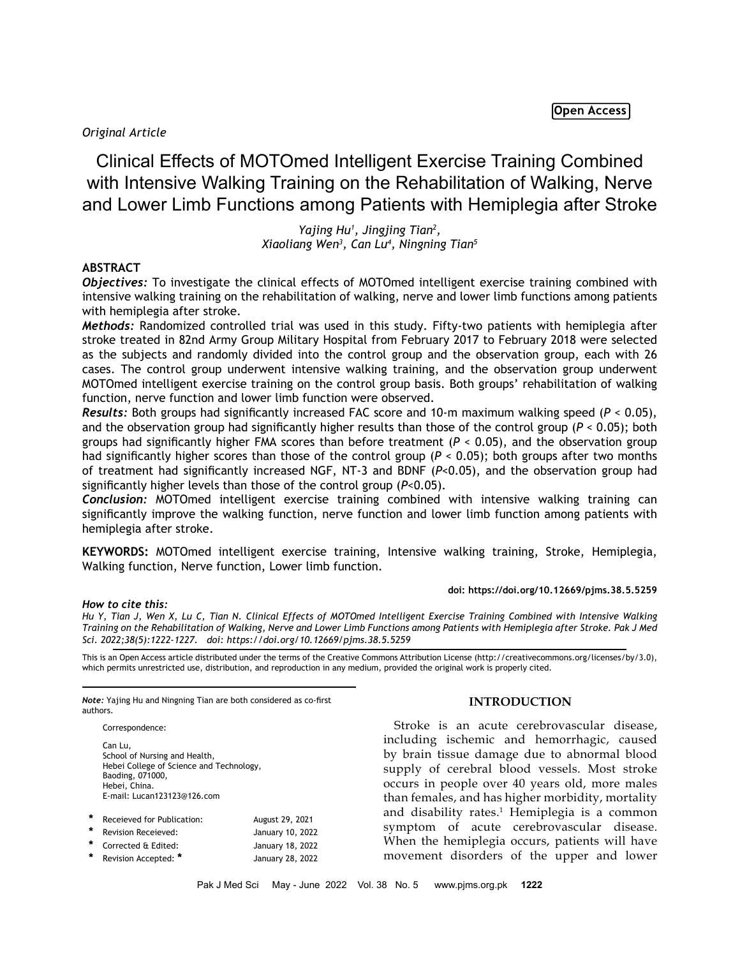Open Access

# *Original Article*

Clinical Effects of MOTOmed Intelligent Exercise Training Combined with Intensive Walking Training on the Rehabilitation of Walking, Nerve and Lower Limb Functions among Patients with Hemiplegia after Stroke

> *Yajing Hu1 , Jingjing Tian2 , Xiaoliang Wen3 , Can Lu4 , Ningning Tian5*

## **ABSTRACT**

*Objectives:* To investigate the clinical effects of MOTOmed intelligent exercise training combined with intensive walking training on the rehabilitation of walking, nerve and lower limb functions among patients with hemiplegia after stroke.

*Methods:* Randomized controlled trial was used in this study. Fifty-two patients with hemiplegia after stroke treated in 82nd Army Group Military Hospital from February 2017 to February 2018 were selected as the subjects and randomly divided into the control group and the observation group, each with 26 cases. The control group underwent intensive walking training, and the observation group underwent MOTOmed intelligent exercise training on the control group basis. Both groups' rehabilitation of walking function, nerve function and lower limb function were observed.

*Results:* Both groups had significantly increased FAC score and 10-m maximum walking speed (*P* < 0.05), and the observation group had significantly higher results than those of the control group (*P* < 0.05); both groups had significantly higher FMA scores than before treatment (*P* < 0.05), and the observation group had significantly higher scores than those of the control group (*P* < 0.05); both groups after two months of treatment had significantly increased NGF, NT-3 and BDNF (*P*<0.05), and the observation group had significantly higher levels than those of the control group (*P*<0.05).

*Conclusion:* MOTOmed intelligent exercise training combined with intensive walking training can significantly improve the walking function, nerve function and lower limb function among patients with hemiplegia after stroke.

**KEYWORDS:** MOTOmed intelligent exercise training, Intensive walking training, Stroke, Hemiplegia, Walking function, Nerve function, Lower limb function.

### **doi: https://doi.org/10.12669/pjms.38.5.5259**

#### *How to cite this:*

*Hu Y, Tian J, Wen X, Lu C, Tian N. Clinical Effects of MOTOmed Intelligent Exercise Training Combined with Intensive Walking Training on the Rehabilitation of Walking, Nerve and Lower Limb Functions among Patients with Hemiplegia after Stroke. Pak J Med Sci. 2022;38(5):1222-1227. doi: https://doi.org/10.12669/pjms.38.5.5259*

This is an Open Access article distributed under the terms of the Creative Commons Attribution License (http://creativecommons.org/licenses/by/3.0), which permits unrestricted use, distribution, and reproduction in any medium, provided the original work is properly cited.

*Note:* Yajing Hu and Ningning Tian are both considered as co-first authors.

Correspondence:

Can Lu, School of Nursing and Health, Hebei College of Science and Technology, Baoding, 071000, Hebei, China. E-mail: Lucan123123@126.com

| * | Receieved for Publication: | August 29, 2021  |
|---|----------------------------|------------------|
| * | <b>Revision Receieved:</b> | January 10, 2022 |
|   | * Corrected & Edited:      | January 18, 2022 |
| * | Revision Accepted: *       | January 28, 2022 |

#### **INTRODUCTION**

Stroke is an acute cerebrovascular disease, including ischemic and hemorrhagic, caused by brain tissue damage due to abnormal blood supply of cerebral blood vessels. Most stroke occurs in people over 40 years old, more males than females, and has higher morbidity, mortality and disability rates.<sup>1</sup> Hemiplegia is a common symptom of acute cerebrovascular disease. When the hemiplegia occurs, patients will have movement disorders of the upper and lower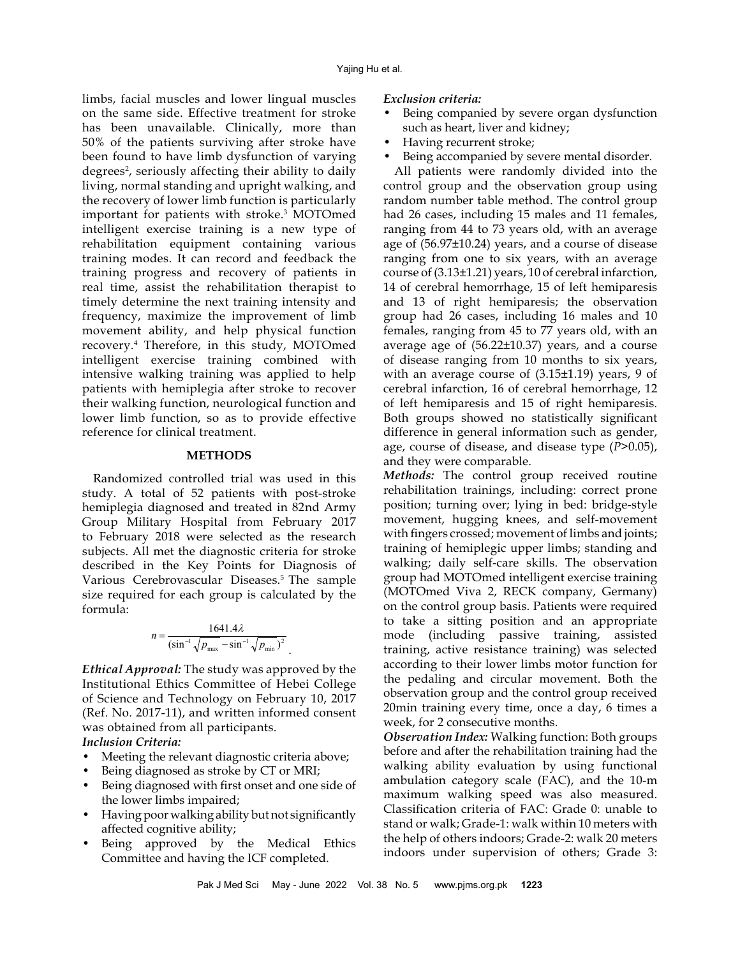limbs, facial muscles and lower lingual muscles on the same side. Effective treatment for stroke has been unavailable. Clinically, more than 50% of the patients surviving after stroke have been found to have limb dysfunction of varying degrees<sup>2</sup>, seriously affecting their ability to daily living, normal standing and upright walking, and the recovery of lower limb function is particularly important for patients with stroke.3 MOTOmed intelligent exercise training is a new type of rehabilitation equipment containing various training modes. It can record and feedback the training progress and recovery of patients in real time, assist the rehabilitation therapist to timely determine the next training intensity and frequency, maximize the improvement of limb movement ability, and help physical function recovery.4 Therefore, in this study, MOTOmed intelligent exercise training combined with intensive walking training was applied to help patients with hemiplegia after stroke to recover their walking function, neurological function and lower limb function, so as to provide effective reference for clinical treatment.

#### **METHODS**

Randomized controlled trial was used in this study. A total of 52 patients with post-stroke hemiplegia diagnosed and treated in 82nd Army Group Military Hospital from February 2017 to February 2018 were selected as the research subjects. All met the diagnostic criteria for stroke described in the Key Points for Diagnosis of Various Cerebrovascular Diseases.<sup>5</sup> The sample size required for each group is calculated by the formula:

$$
n = \frac{1641.4\lambda}{(\sin^{-1}\sqrt{p_{\max}} - \sin^{-1}\sqrt{p_{\min}})^2}
$$

.

*Ethical Approval:* The study was approved by the Institutional Ethics Committee of Hebei College of Science and Technology on February 10, 2017 (Ref. No. 2017-11), and written informed consent was obtained from all participants.

*Inclusion Criteria:*

- Meeting the relevant diagnostic criteria above;
- Being diagnosed as stroke by CT or MRI;
- Being diagnosed with first onset and one side of the lower limbs impaired;
- Having poor walking ability but not significantly affected cognitive ability;
- Being approved by the Medical Ethics Committee and having the ICF completed.

#### *Exclusion criteria:*

- Being companied by severe organ dysfunction such as heart, liver and kidney;
- Having recurrent stroke;
- Being accompanied by severe mental disorder.

All patients were randomly divided into the control group and the observation group using random number table method. The control group had 26 cases, including 15 males and 11 females, ranging from 44 to 73 years old, with an average age of (56.97±10.24) years, and a course of disease ranging from one to six years, with an average course of (3.13±1.21) years, 10 of cerebral infarction, 14 of cerebral hemorrhage, 15 of left hemiparesis and 13 of right hemiparesis; the observation group had 26 cases, including 16 males and 10 females, ranging from 45 to 77 years old, with an average age of (56.22±10.37) years, and a course of disease ranging from 10 months to six years, with an average course of (3.15±1.19) years, 9 of cerebral infarction, 16 of cerebral hemorrhage, 12 of left hemiparesis and 15 of right hemiparesis. Both groups showed no statistically significant difference in general information such as gender, age, course of disease, and disease type (*P*>0.05), and they were comparable.

*Methods:* The control group received routine rehabilitation trainings, including: correct prone position; turning over; lying in bed: bridge-style movement, hugging knees, and self-movement with fingers crossed; movement of limbs and joints; training of hemiplegic upper limbs; standing and walking; daily self-care skills. The observation group had MOTOmed intelligent exercise training (MOTOmed Viva 2, RECK company, Germany) on the control group basis. Patients were required to take a sitting position and an appropriate mode (including passive training, assisted training, active resistance training) was selected according to their lower limbs motor function for the pedaling and circular movement. Both the observation group and the control group received 20min training every time, once a day, 6 times a week, for 2 consecutive months.

*Observation Index:* Walking function: Both groups before and after the rehabilitation training had the walking ability evaluation by using functional ambulation category scale (FAC), and the 10-m maximum walking speed was also measured. Classification criteria of FAC: Grade 0: unable to stand or walk; Grade-1: walk within 10 meters with the help of others indoors; Grade-2: walk 20 meters indoors under supervision of others; Grade 3: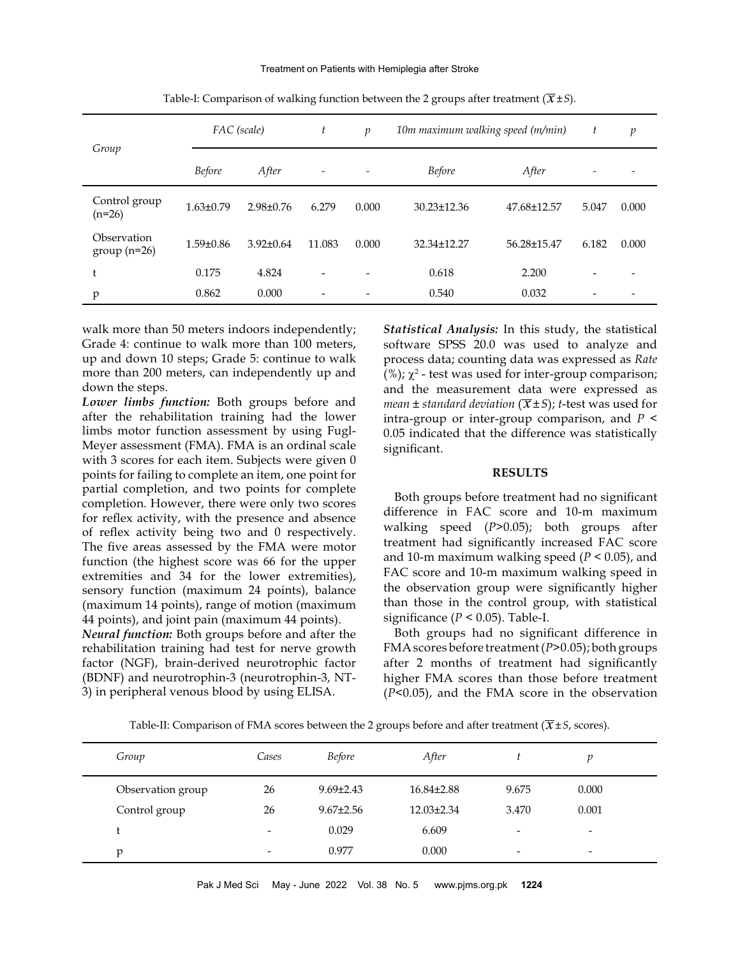|                              |                 | FAC (scale)     | t                        | $\mathcal{D}$            | 10m maximum walking speed (m/min) |             | t                        | $\mathfrak{p}$ |
|------------------------------|-----------------|-----------------|--------------------------|--------------------------|-----------------------------------|-------------|--------------------------|----------------|
| Group                        | <b>Before</b>   | After           | $\overline{\phantom{a}}$ | $\overline{\phantom{0}}$ | <b>Before</b>                     | After       | $\overline{\phantom{0}}$ |                |
| Control group<br>$(n=26)$    | $1.63 \pm 0.79$ | $2.98 \pm 0.76$ | 6.279                    | 0.000                    | 30.23±12.36                       | 47.68±12.57 | 5.047                    | 0.000          |
| Observation<br>$group(n=26)$ | $1.59 \pm 0.86$ | $3.92 \pm 0.64$ | 11.083                   | 0.000                    | 32.34±12.27                       | 56.28±15.47 | 6.182                    | 0.000          |
| t                            | 0.175           | 4.824           | $\overline{\phantom{0}}$ |                          | 0.618                             | 2.200       |                          |                |
| p                            | 0.862           | 0.000           | $\overline{\phantom{0}}$ |                          | 0.540                             | 0.032       |                          |                |

Table-I: Comparison of walking function between the 2 groups after treatment  $(\overline{X} \pm S)$ .

walk more than 50 meters indoors independently; Grade 4: continue to walk more than 100 meters, up and down 10 steps; Grade 5: continue to walk more than 200 meters, can independently up and down the steps.

*Lower limbs function:* Both groups before and after the rehabilitation training had the lower limbs motor function assessment by using Fugl-Meyer assessment (FMA). FMA is an ordinal scale with 3 scores for each item. Subjects were given 0 points for failing to complete an item, one point for partial completion, and two points for complete completion. However, there were only two scores for reflex activity, with the presence and absence of reflex activity being two and 0 respectively. The five areas assessed by the FMA were motor function (the highest score was 66 for the upper extremities and 34 for the lower extremities), sensory function (maximum 24 points), balance (maximum 14 points), range of motion (maximum 44 points), and joint pain (maximum 44 points).

*Neural function:* Both groups before and after the rehabilitation training had test for nerve growth factor (NGF), brain-derived neurotrophic factor (BDNF) and neurotrophin-3 (neurotrophin-3, NT-3) in peripheral venous blood by using ELISA.

*Statistical Analysis:* In this study, the statistical software SPSS 20.0 was used to analyze and process data; counting [data](file:///D:/-...PJMS%20folder/Word%20Files/05.May-June_2022/javascript:;) was expressed as *Rate* (%);  $\chi^2$  - test was used for inter-group comparison; and the measurement data were expressed as *mean*  $\pm$  *standard deviation* ( $\overline{x}$  $\pm$ *S*); *t*-test was used for intra-group or inter-group comparison, and *P* < 0.05 indicated that the difference was statistically significant.

#### **RESULTS**

 Both groups before treatment had no significant difference in FAC score and 10-m maximum walking speed (*P*>0.05); both groups after treatment had significantly increased FAC score and 10-m maximum walking speed (*P* < 0.05), and FAC score and 10-m maximum walking speed in the observation group were significantly higher than those in the control group, with statistical significance ( $P < 0.05$ ). Table-I.

 Both groups had no significant difference in FMA scores before treatment (*P*>0.05); both groups after 2 months of treatment had significantly higher FMA scores than those before treatment (*P*<0.05), and the FMA score in the observation

Table-II: Comparison of FMA scores between the 2 groups before and after treatment  $(\overline{X} \pm S,$  scores).

| Group             | Cases                    | <b>Before</b>   | After            |       |                          |  |
|-------------------|--------------------------|-----------------|------------------|-------|--------------------------|--|
| Observation group | 26                       | $9.69 \pm 2.43$ | $16.84\pm2.88$   | 9.675 | 0.000                    |  |
| Control group     | 26                       | $9.67 \pm 2.56$ | $12.03 \pm 2.34$ | 3.470 | 0.001                    |  |
| t                 | $\overline{\phantom{a}}$ | 0.029           | 6.609            | -     | $\overline{\phantom{a}}$ |  |
| p                 | -                        | 0.977           | 0.000            | -     | $\overline{\phantom{a}}$ |  |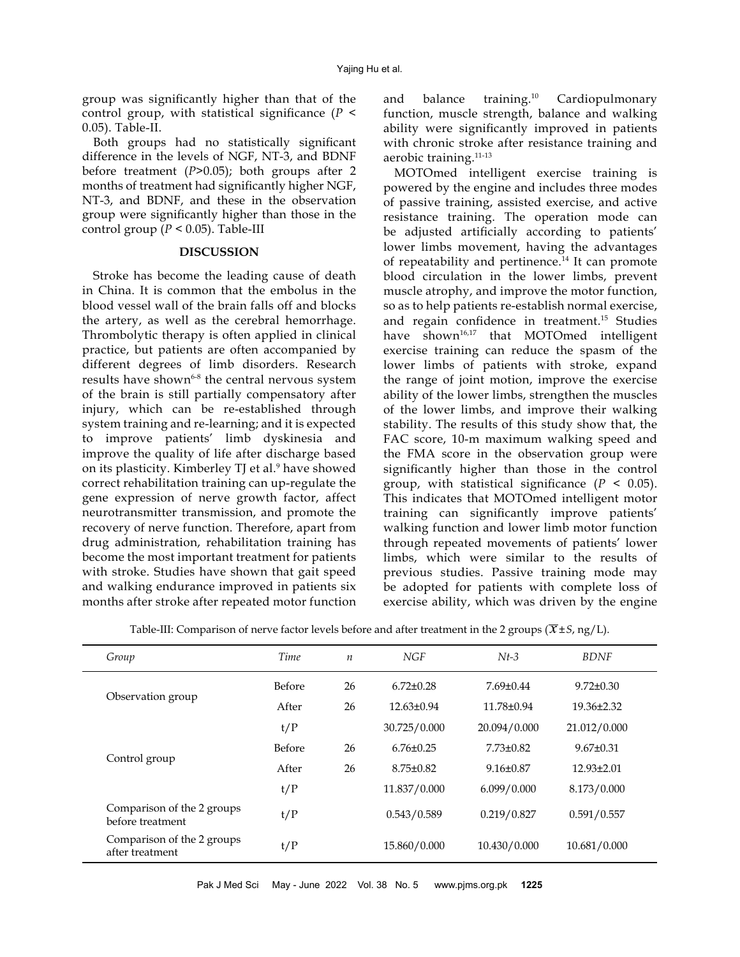group was significantly higher than that of the control group, with statistical significance (*P* < 0.05). Table-II.

 Both groups had no statistically significant difference in the levels of NGF, NT-3, and BDNF before treatment (*P*>0.05); both groups after 2 months of treatment had significantly higher NGF, NT-3, and BDNF, and these in the observation group were significantly higher than those in the control group ( $P < 0.05$ ). Table-III

## **DISCUSSION**

Stroke has become the leading cause of death in China. It is common that the embolus in the blood vessel wall of the brain falls off and blocks the artery, as well as the cerebral hemorrhage. Thrombolytic therapy is often applied in clinical practice, but patients are often accompanied by different degrees of limb disorders. Research results have shown<sup>6-8</sup> the central nervous system of the brain is still partially compensatory after injury, which can be re-established through system training and re-learning; and it is expected to improve patients' limb dyskinesia and improve the quality of life after discharge based on its plasticity. Kimberley TJ et al.<sup>9</sup> have showed correct rehabilitation training can up-regulate the gene expression of nerve growth factor, affect neurotransmitter transmission, and promote the recovery of nerve function. Therefore, apart from drug administration, rehabilitation training has become the most important treatment for patients with stroke. Studies have shown that gait speed and walking endurance improved in patients six months after stroke after repeated motor function

and balance training.10 Cardiopulmonary function, muscle strength, balance and walking ability were significantly improved in patients with chronic stroke after resistance training and aerobic training.11-13

MOTOmed intelligent exercise training is powered by the engine and includes three modes of passive training, assisted exercise, and active resistance training. The operation mode can be adjusted artificially according to patients' lower limbs movement, having the advantages of repeatability and pertinence.<sup>14</sup> It can promote blood circulation in the lower limbs, prevent muscle atrophy, and improve the motor function, so as to help patients re-establish normal exercise, and regain confidence in treatment.15 Studies have shown<sup>16,17</sup> that MOTOmed intelligent exercise training can reduce the spasm of the lower limbs of patients with stroke, expand the range of joint motion, improve the exercise ability of the lower limbs, strengthen the muscles of the lower limbs, and improve their walking stability. The results of this study show that, the FAC score, 10-m maximum walking speed and the FMA score in the observation group were significantly higher than those in the control group, with statistical significance  $(P < 0.05)$ . This indicates that MOTOmed intelligent motor training can significantly improve patients' walking function and lower limb motor function through repeated movements of patients' lower limbs, which were similar to the results of previous studies. Passive training mode may be adopted for patients with complete loss of exercise ability, which was driven by the engine

| Table-III: Comparison of nerve factor levels before and after treatment in the 2 groups ( $\overline{x}$ ± S, ng/L). |  |
|----------------------------------------------------------------------------------------------------------------------|--|
|----------------------------------------------------------------------------------------------------------------------|--|

| Group                                          | Time          | $\boldsymbol{n}$ | NGF              | $Nt-3$          | <b>BDNF</b>      |
|------------------------------------------------|---------------|------------------|------------------|-----------------|------------------|
|                                                | <b>Before</b> | 26               | $6.72 \pm 0.28$  | $7.69 \pm 0.44$ | $9.72 \pm 0.30$  |
| Observation group                              | After         | 26               | $12.63 \pm 0.94$ | 11.78±0.94      | $19.36 \pm 2.32$ |
|                                                | t/P           |                  | 30.725/0.000     | 20.094/0.000    | 21.012/0.000     |
|                                                | <b>Before</b> | 26               | $6.76 \pm 0.25$  | $7.73 \pm 0.82$ | $9.67 \pm 0.31$  |
| Control group                                  | After         | 26               | $8.75 \pm 0.82$  | $9.16 \pm 0.87$ | $12.93 \pm 2.01$ |
|                                                | t/P           |                  | 11.837/0.000     | 6.099/0.000     | 8.173/0.000      |
| Comparison of the 2 groups<br>before treatment | t/P           |                  | 0.543/0.589      | 0.219/0.827     | 0.591/0.557      |
| Comparison of the 2 groups<br>after treatment  | t/P           |                  | 15.860/0.000     | 10.430/0.000    | 10.681/0.000     |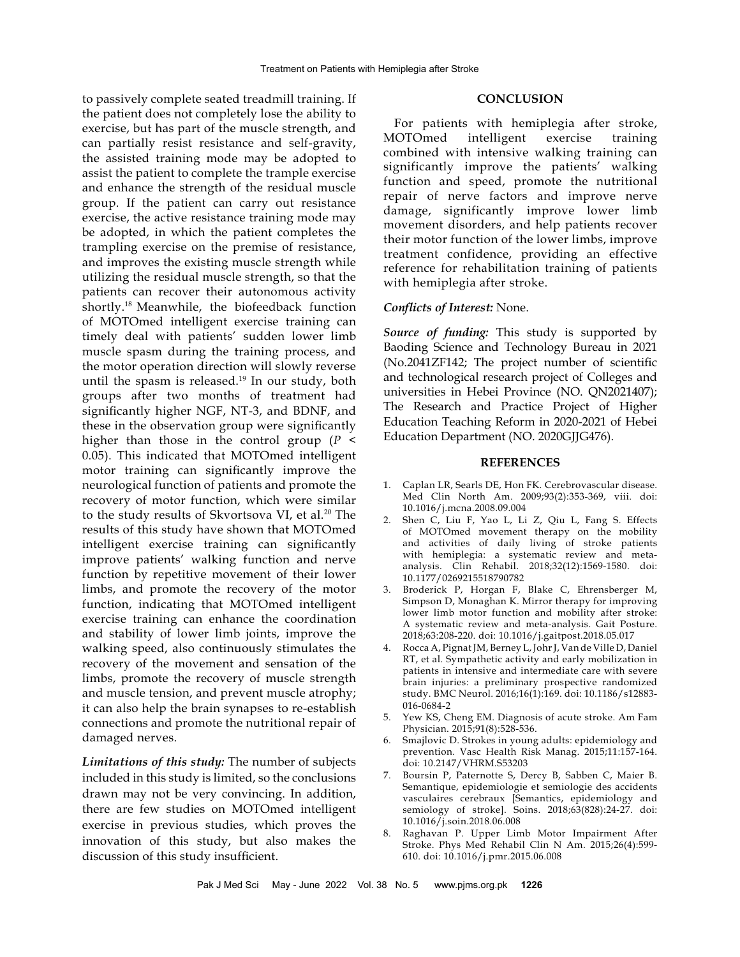to passively complete seated treadmill training. If the patient does not completely lose the ability to exercise, but has part of the muscle strength, and can partially resist resistance and self-gravity, the assisted training mode may be adopted to assist the patient to complete the trample exercise and enhance the strength of the residual muscle group. If the patient can carry out resistance exercise, the active resistance training mode may be adopted, in which the patient completes the trampling exercise on the premise of resistance, and improves the existing muscle strength while utilizing the residual muscle strength, so that the patients can recover their autonomous activity shortly.18 Meanwhile, the biofeedback function of MOTOmed intelligent exercise training can timely deal with patients' sudden lower limb muscle spasm during the training process, and the motor operation direction will slowly reverse until the spasm is released.<sup>19</sup> In our study, both groups after two months of treatment had significantly higher NGF, NT-3, and BDNF, and these in the observation group were significantly higher than those in the control group (*P* < 0.05). This indicated that MOTOmed intelligent motor training can significantly improve the neurological function of patients and promote the recovery of motor function, which were similar to the study results of Skvortsova VI, et al.<sup>20</sup> The results of this study have shown that MOTOmed intelligent exercise training can significantly improve patients' walking function and nerve function by repetitive movement of their lower limbs, and promote the recovery of the motor function, indicating that MOTOmed intelligent exercise training can enhance the coordination and stability of lower limb joints, improve the walking speed, also continuously stimulates the recovery of the movement and sensation of the limbs, promote the recovery of muscle strength and muscle tension, and prevent muscle atrophy; it can also help the brain synapses to re-establish connections and promote the nutritional repair of damaged nerves.

*Limitations of this study:* The number of subjects included in this study is limited, so the conclusions drawn may not be very convincing. In addition, there are few studies on MOTOmed intelligent exercise in previous studies, which proves the innovation of this study, but also makes the discussion of this study insufficient.

### **CONCLUSION**

For patients with hemiplegia after stroke, MOTOmed intelligent exercise training combined with intensive walking training can significantly improve the patients' walking function and speed, promote the nutritional repair of nerve factors and improve nerve damage, significantly improve lower limb movement disorders, and help patients recover their motor function of the lower limbs, improve treatment confidence, providing an effective reference for rehabilitation training of patients with hemiplegia after stroke.

#### *Conflicts of Interest:* None.

*Source of funding:* This study is supported by Baoding Science and Technology Bureau in 2021 (No.2041ZF142; The project number of scientific and technological research project of Colleges and universities in Hebei Province (NO. QN2021407); The Research and Practice Project of Higher Education Teaching Reform in 2020-2021 of Hebei Education Department (NO. 2020GJJG476).

#### **REFERENCES**

- 1. Caplan LR, Searls DE, Hon FK. Cerebrovascular disease. Med Clin North Am. 2009;93(2):353-369, viii. doi: 10.1016/j.mcna.2008.09.004
- 2. Shen C, Liu F, Yao L, Li Z, Qiu L, Fang S. Effects of MOTOmed movement therapy on the mobility and activities of daily living of stroke patients with hemiplegia: a systematic review and metaanalysis. Clin Rehabil. 2018;32(12):1569-1580. doi: 10.1177/0269215518790782
- 3. Broderick P, Horgan F, Blake C, Ehrensberger M, Simpson D, Monaghan K. Mirror therapy for improving lower limb motor function and mobility after stroke: A systematic review and meta-analysis. Gait Posture. 2018;63:208-220. doi: 10.1016/j.gaitpost.2018.05.017
- 4. Rocca A, Pignat JM, Berney L, Johr J, Van de Ville D, Daniel RT, et al. Sympathetic activity and early mobilization in patients in intensive and intermediate care with severe brain injuries: a preliminary prospective randomized study. BMC Neurol. 2016;16(1):169. doi: 10.1186/s12883- 016-0684-2
- 5. Yew KS, Cheng EM. Diagnosis of acute stroke. Am Fam Physician. 2015;91(8):528-536.
- 6. Smajlovic D. Strokes in young adults: epidemiology and prevention. Vasc Health Risk Manag. 2015;11:157-164. doi: 10.2147/VHRM.S53203
- 7. Boursin P, Paternotte S, Dercy B, Sabben C, Maier B. Semantique, epidemiologie et semiologie des accidents vasculaires cerebraux [Semantics, epidemiology and semiology of stroke]. Soins. 2018;63(828):24-27. doi: 10.1016/j.soin.2018.06.008
- 8. Raghavan P. Upper Limb Motor Impairment After Stroke. Phys Med Rehabil Clin N Am. 2015;26(4):599- 610. doi: 10.1016/j.pmr.2015.06.008